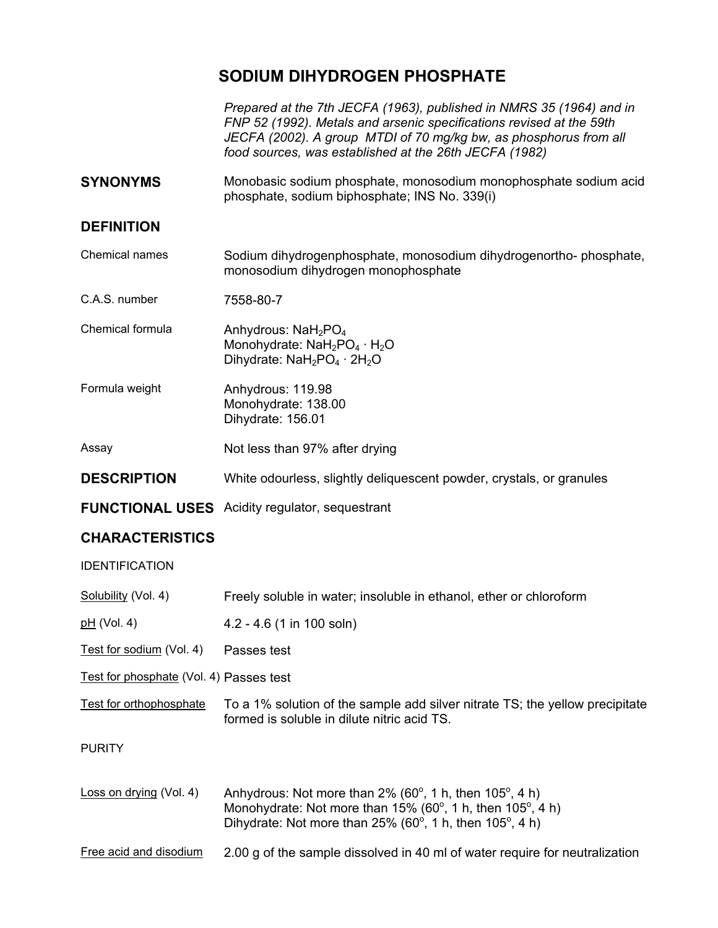## **SODIUM DIHYDROGEN PHOSPHATE**

*Prepared at the 7th JECFA (1963), published in NMRS 35 (1964) and in FNP 52 (1992). Metals and arsenic specifications revised at the 59th JECFA (2002). A group MTDI of 70 mg/kg bw, as phosphorus from all food sources, was established at the 26th JECFA (1982)* 

**SYNONYMS** Monobasic sodium phosphate, monosodium monophosphate sodium acid phosphate, sodium biphosphate; INS No. 339(i)

## **DEFINITION**

Chemical names Sodium dihydrogenphosphate, monosodium dihydrogenortho- phosphate, monosodium dihydrogen monophosphate

C.A.S. number 7558-80-7

Chemical formula  $\mu$  Anhydrous: NaH<sub>2</sub>PO<sub>4</sub> Monohydrate: NaH<sub>2</sub>PO<sub>4</sub> · H<sub>2</sub>O Dihydrate:  $N aH_2PO_4 \cdot 2H_2O$ 

Formula weight **Anhydrous: 119.98** Monohydrate: 138.00 Dihydrate: 156.01

Assay Not less than 97% after drying

- **DESCRIPTION** White odourless, slightly deliquescent powder, crystals, or granules
- **FUNCTIONAL USES** Acidity regulator, sequestrant

## **CHARACTERISTICS**

IDENTIFICATION

Solubility (Vol. 4) Freely soluble in water; insoluble in ethanol, ether or chloroform

pH (Vol. 4) 4.2 - 4.6 (1 in 100 soln)

Test for sodium (Vol. 4) Passes test

Test for phosphate (Vol. 4) Passes test

Test for orthophosphate To a 1% solution of the sample add silver nitrate TS; the yellow precipitate formed is soluble in dilute nitric acid TS.

PURITY

Loss on drying (Vol. 4) Anhydrous: Not more than  $2\%$  (60 $^{\circ}$ , 1 h, then 105 $^{\circ}$ , 4 h) Monohydrate: Not more than 15% (60 $^{\circ}$ , 1 h, then 105 $^{\circ}$ , 4 h) Dihydrate: Not more than 25% (60 $^{\circ}$ , 1 h, then 105 $^{\circ}$ , 4 h)

Free acid and disodium 2.00 g of the sample dissolved in 40 ml of water require for neutralization